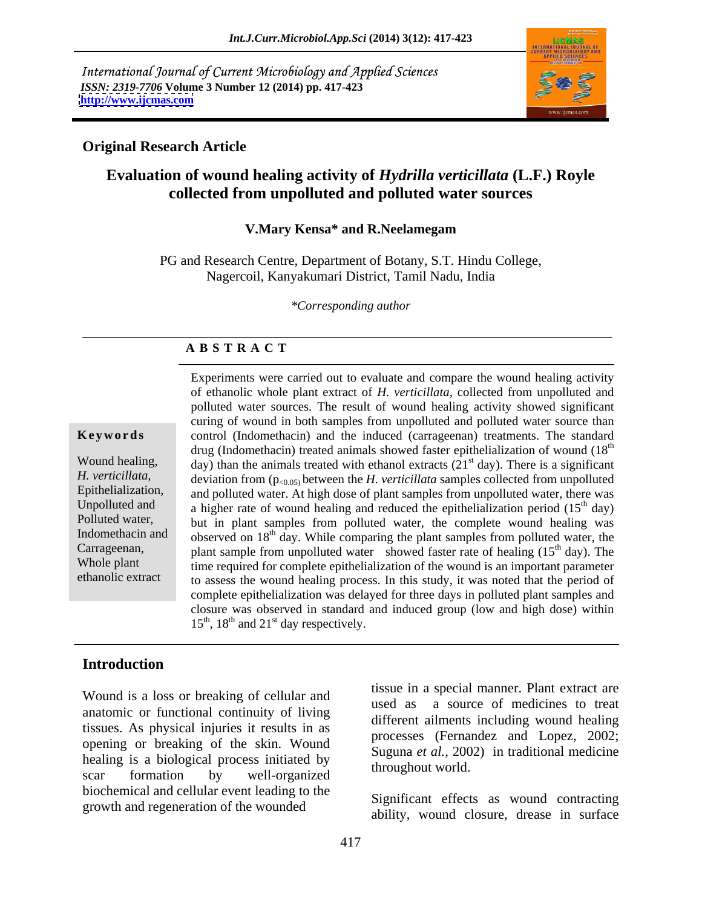International Journal of Current Microbiology and Applied Sciences *ISSN: 2319-7706* **Volume 3 Number 12 (2014) pp. 417-423 <http://www.ijcmas.com>**



## **Original Research Article**

# **Evaluation of wound healing activity of** *Hydrilla verticillata* **(L.F.) Royle collected from unpolluted and polluted water sources**

### **V.Mary Kensa\* and R.Neelamegam**

PG and Research Centre, Department of Botany, S.T. Hindu College, Nagercoil, Kanyakumari District, Tamil Nadu, India

*\*Corresponding author*

### **A B S T R A C T**

**Keywords** control (Indomethacin) and the induced (carrageenan) treatments. The standard Wound healing, day) than the animals treated with ethanol extracts  $(21<sup>st</sup>$  day). There is a significant *H. verticillata,* deviation from (p<sub><0.05)</sub> between the *H. verticillata* samples collected from unpolluted Epithelialization, and polluted water. At high dose of plant samples from unpolluted water, there was Unpolluted and  $\alpha$  higher rate of wound healing and reduced the epithelialization period (15<sup>th</sup> day) Polluted water, but in plant samples from polluted water, the complete wound healing was Indomethacin and observed on  $18<sup>th</sup>$  day. While comparing the plant samples from polluted water, the Carrageenan, plant sample from unpolluted water showed faster rate of healing  $(15<sup>th</sup> \, \text{day})$ . The time required for complete epithelialization of the wound is an important parameter ethanolic extract to assess the wound healing process. In this study, it was noted that the period of Experiments were carried out to evaluate and compare the wound healing activity of ethanolic whole plant extract of *H. verticillata*, collected from unpolluted and polluted water sources. The result of wound healing activity showed significant curing of wound in both samples from unpolluted and polluted water source than drug (Indomethacin) treated animals showed faster epithelialization of wound (18<sup>th</sup>) the contract of the contract of the contract of the contract of the contract of the contract of the contract of the contract of the contract of the contract of the contract of the contract of the contract of the contract o  $^{th}$  day)  $<sup>th</sup>$  day). The</sup> time required for complete epithelialization of the wound is an important parameter complete epithelialization was delayed for three days in polluted plant samples and closure was observed in standard and induced group (low and high dose) within  $15^{th}$ ,  $18^{th}$  and  $21^{st}$  day respectively.

## **Introduction**

Wound is a loss or breaking of cellular and<br>used as anatomic or functional continuity of living tissues. As physical injuries it results in as opening or breaking of the skin. Wound healing is a biological process initiated by scar formation by well-organized and the contraction of the bound. biochemical and cellular event leading to the growth and regeneration of the wounded

tissue in a special manner. Plant extract are a source of medicines to treat different ailments including wound healing processes (Fernandez and Lopez*,* 2002; Suguna *et al.,* 2002) in traditional medicine throughout world.

Significant effects as wound contracting ability, wound closure, drease in surface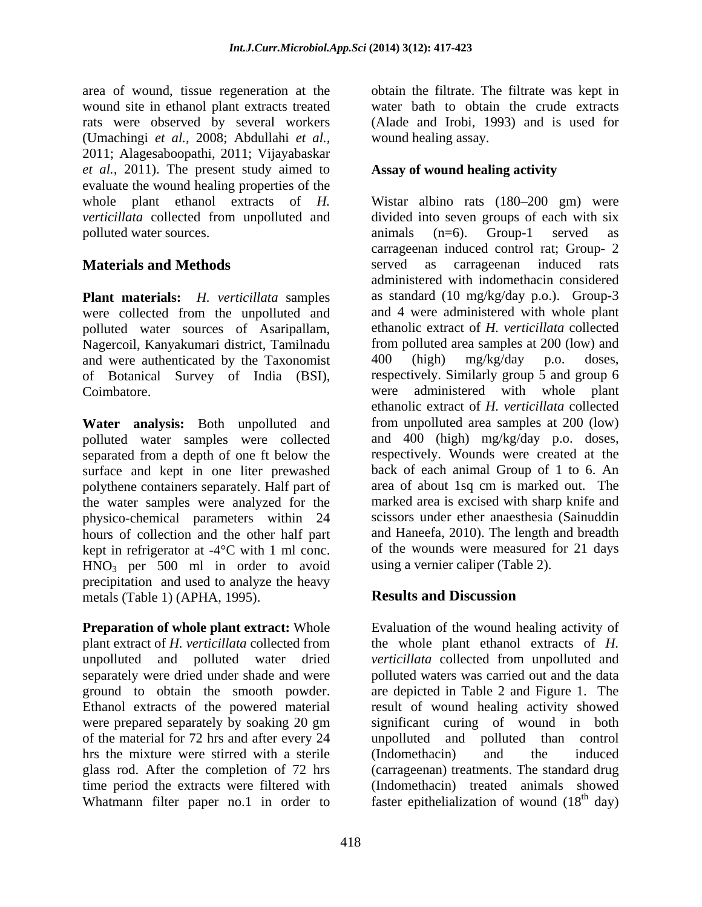area of wound, tissue regeneration at the obtain the filtrate. The filtrate was kept in wound site in ethanol plant extracts treated rats were observed by several workers (Alade and Irobi, 1993) and is used for (Umachingi *et al.,* 2008; Abdullahi *et al.,* 2011; Alagesaboopathi, 2011; Vijayabaskar *et al.,* 2011). The present study aimed to evaluate the wound healing properties of the polluted water sources. The contract of the contract as animals (n=6). Group-1 served as

were collected from the unpolluted and polluted water sources of Asaripallam, Nagercoil, Kanyakumari district, Tamilnadu from polluted area samples at 200 (low) and and were authenticated by the Taxonomist 400 (high) mg/kg/day p.o. doses, and were authenticated by the Taxonomist of Botanical Survey of India (BSI),

**Water analysis:** Both unpolluted and polluted water samples were collected separated from a depth of one ft below the surface and kept in one liter prewashed polythene containers separately. Half part of the water samples were analyzed for the physico-chemical parameters within 24 hours of collection and the other half part kept in refrigerator at -4°C with 1 ml conc. HNO3 per 500 ml in order to avoid precipitation and used to analyze the heavy<br>metals (Table 1) (APHA 1995) **Results and Discussion** metals (Table 1) (APHA, 1995).

**Preparation of whole plant extract:** Whole unpolluted and polluted water dried verticillata collected from unpolluted and of the material for 72 hrs and after every 24 hrs the mixture were stirred with a sterile (Indomethacin) and the induced Whatmann filter paper no.1 in order to faster epithelialization of wound  $(18<sup>th</sup>$  day)

water bath to obtain the crude extracts wound healing assay.

## **Assay of wound healing activity**

whole plant ethanol extracts of *H*. Wistar albino rats (180–200 gm) were *verticillata* collected from unpolluted and divided into seven groups of each with six **Materials and Methods** served as carrageenan induced rats **Plant materials:** *H. verticillata* samples as standard (10 mg/kg/day p.o.). Group-3 Coimbatore. were administered with whole plant animals (n=6). Group-1 served as carrageenan induced control rat; Group- 2 administered with indomethacin considered and 4 were administered with whole plant ethanolic extract of *H. verticillata* collected from polluted area samples at 200 (low) and 400 (high) mg/kg/day p.o. doses, respectively. Similarly group 5 and group 6 ethanolic extract of *H. verticillata* collected from unpolluted area samples at 200 (low) and 400 (high) mg/kg/day p.o. doses, respectively. Wounds were created at the back of each animal Group of 1 to 6. An area of about 1sq cm is marked out. The marked area is excised with sharp knife and scissors under ether anaesthesia (Sainuddin and Haneefa, 2010). The length and breadth of the wounds were measured for 21 days using a vernier caliper (Table 2).

# **Results and Discussion**

plant extract of *H. verticillata* collected from the whole plant ethanol extracts of *H.*  separately were dried under shade and were polluted waters was carried out and the data ground to obtain the smooth powder. are depicted in Table 2 and Figure 1. The Ethanol extracts of the powered material result of wound healing activity showed were prepared separately by soaking 20 gm significant curing of wound in both glass rod. After the completion of 72 hrs (carrageenan) treatments. The standard drug time period the extracts were filtered with (Indomethacin) treated animals showed Evaluation of the wound healing activity of *verticillata* collected from unpolluted and unpolluted and polluted than control (Indomethacin) and the induced  $^{th}$  day)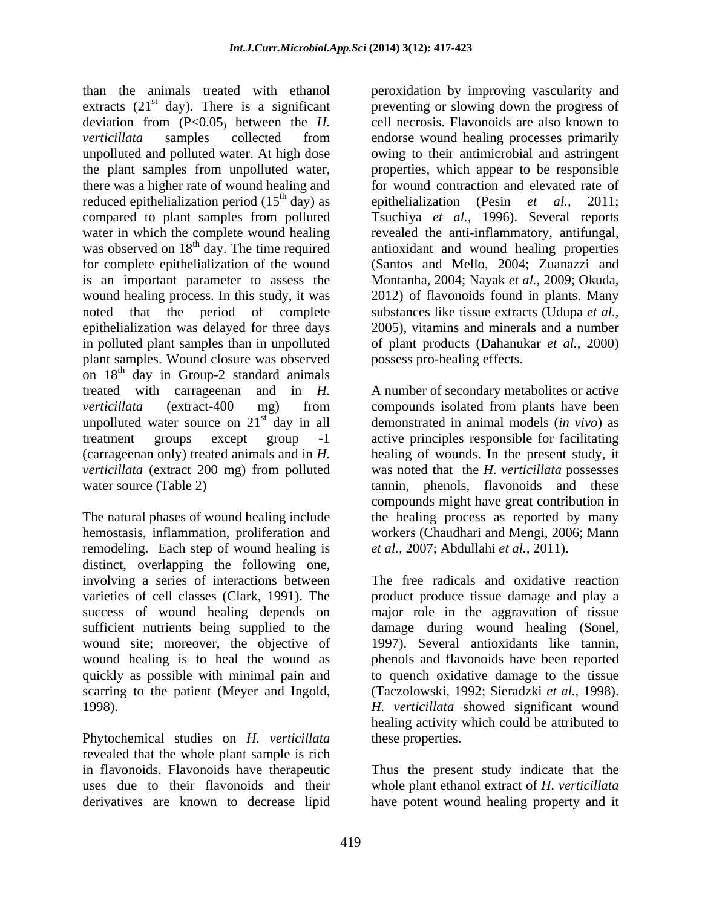than the animals treated with ethanol extracts  $(21<sup>st</sup> \text{ day})$ . There is a significant deviation from (P<0.05) between the *H. verticillata* samples collected from endorse wound healing processes primarily unpolluted and polluted water. At high dose owing to their antimicrobial and astringent the plant samples from unpolluted water, properties, which appear to be responsible there was a higher rate of wound healing and for wound contraction and elevated rate of reduced epithelialization period (15<sup>th</sup> day) as epithelialization (Pesin *et al.*, 2011; compared to plant samples from polluted Tsuchiya *et al.,* 1996). Several reports water in which the complete wound healing revealed the anti-inflammatory, antifungal, was observed on 18<sup>th</sup> day. The time required antioxidant and wound healing properties for complete epithelialization of the wound is an important parameter to assess the wound healing process. In this study, it was 2012) of flavonoids found in plants. Many noted that the period of complete substances like tissue extracts (Udupa *et al.,* epithelialization was delayed for three days 2005), vitamins and minerals and a number in polluted plant samples than in unpolluted of plant products (Dahanukar *et al.,* 2000) plant samples. Wound closure was observed on 18<sup>th</sup> day in Group-2 standard animals treated with carrageenan and in *H.*  A number of secondary metabolites or active *verticillata* (extract-400 mg) from compounds isolated from plants have been unpolluted water source on  $21<sup>st</sup>$  day in all treatment groups except group -1 active principles responsible for facilitating (carrageenan only) treated animals and in *H.*  healing of wounds. In the present study, it *verticillata* (extract 200 mg) from polluted was noted that the *H. verticillata* possesses

The natural phases of wound healing include the healing process as reported by many hemostasis, inflammation, proliferation and workers (Chaudhari and Mengi, 2006; Mann remodeling. Each step of wound healing is distinct, overlapping the following one, involving a series of interactions between varieties of cell classes (Clark, 1991). The success of wound healing depends on major role in the aggravation of tissue sufficient nutrients being supplied to the damage during wound healing (Sonel, wound site; moreover, the objective of 1997). Several antioxidants like tannin, wound healing is to heal the wound as phenols and flavonoids have been reported quickly as possible with minimal pain and to quench oxidative damage to the tissue scarring to the patient (Meyer and Ingold, (Taczolowski*,* 1992; Sieradzki *et al.,* 1998).

Phytochemical studies on *H. verticillata* revealed that the whole plant sample is rich in flavonoids. Flavonoids have therapeutic uses due to their flavonoids and their

<sup>st</sup> day). There is a significant preventing or slowing down the progress of  $\frac{d}{dx}$  day) as epithelialization (Pesin *et al.*, 2011; peroxidation by improving vascularity and cell necrosis. Flavonoids are also known to (Santos and Mello, 2004; Zuanazzi and Montanha, 2004; Nayak *et al.,* 2009; Okuda, possess pro-healing effects.

st day in all demonstrated in animal models (*in vivo*) as water source (Table 2) tannin, phenols, flavonoids and these compounds might have great contribution in *et al.,* 2007; Abdullahi *et al.,* 2011).

1998). *H. verticillata* showed significant wound The free radicals and oxidative reaction product produce tissue damage and play a healing activity which could be attributed to these properties.

derivatives are known to decrease lipid have potent wound healing property and it Thus the present study indicate that the whole plant ethanol extract of *H. verticillata*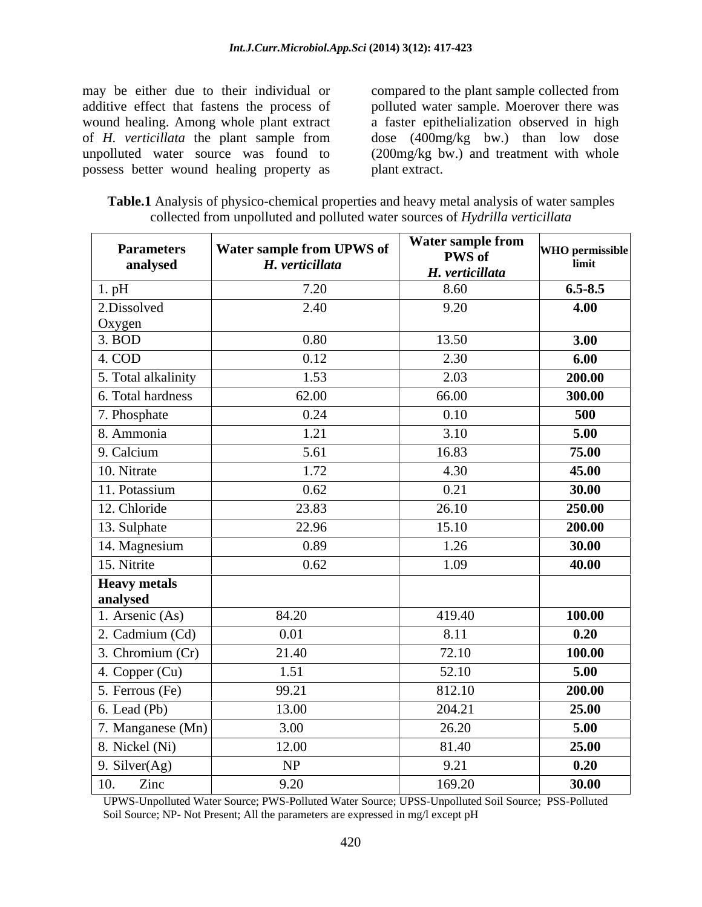may be either due to their individual or compared to the plant sample collected from additive effect that fastens the process of polluted water sample. Moerover there was wound healing. Among whole plant extract a faster epithelialization observed in high of *H. verticillata* the plant sample from dose (400mg/kg bw.) than low dose unpolluted water source was found to (200mg/kg bw.) and treatment with whole possess better wound healing property as

plant extract.

**Table.1** Analysis of physico-chemical properties and heavy metal analysis of water samples collected from unpolluted and polluted water sources of *Hydrilla verticillata*

| <b>Parameters</b><br>analysed   | Water sample from UPWS of<br>H. verticillata | Water sample from<br><b>PWS</b> of<br>H. verticillata | <b>WHO</b> permissible<br>limit |
|---------------------------------|----------------------------------------------|-------------------------------------------------------|---------------------------------|
| $1.$ pH                         | 7.20                                         | 8.60                                                  | $6.5 - 8.5$                     |
| 2.Dissolved<br>Oxygen           | 2.40                                         | 9.20                                                  | 4.00                            |
| 3. <b>BOD</b>                   | 0.80                                         | 13.50                                                 | 3.00                            |
| 4. COD                          | 0.12                                         | 2.30                                                  | 6.00                            |
| 5. Total alkalinity             | 1.53                                         | 2.03                                                  | 200.00                          |
| 6. Total hardness               | 62.00                                        | 66.00                                                 | 300.00                          |
| 7. Phosphate                    | 0.24                                         | 0.10                                                  | 500                             |
| 8. Ammonia                      | 1.21                                         | 3.10                                                  | 5.00                            |
| 9. Calcium                      | 5.61                                         | 16.83                                                 | 75.00                           |
| 10. Nitrate                     | 1.72                                         | 4.30                                                  | 45.00                           |
| 11. Potassium                   | 0.62                                         | 0.21                                                  | 30.00                           |
| 12. Chloride                    | 23.83                                        | 26.10                                                 | 250.00                          |
| $\sqrt{13}$ . Sulphate          | 22.96                                        | 15.10                                                 | 200.00                          |
| 14. Magnesium                   | 0.89                                         | 1.26                                                  | 30.00                           |
| 15. Nitrite                     | 0.62                                         | 1.09                                                  | 40.00                           |
| <b>Heavy metals</b><br>analysed |                                              |                                                       |                                 |
| 1. Arsenic (As)                 | 84.20                                        | 419.40                                                | 100.00                          |
| 2. Cadmium (Cd)                 | 0.01                                         | 8.11                                                  | 0.20                            |
| 3. Chromium (Cr)                | 21.40                                        | 72.10                                                 | 100.00                          |
| 4. Copper $(Cu)$                | 1.51                                         | 52.10                                                 | 5.00                            |
| 5. Ferrous (Fe)                 | 99.21                                        | 812.10                                                | 200.00                          |
| $6.$ Lead (Pb)                  | 13.00                                        | 204.21                                                | 25.00                           |
| 7. Manganese (Mn)               | 3.00                                         | 26.20                                                 | 5.00                            |
| 8. Nickel (Ni)                  | 12.00                                        | 81.40                                                 | 25.00                           |
| 9. Silver $(Ag)$                | NP                                           | 9.21                                                  | 0.20                            |
| 10.<br>Zinc                     | 9.20                                         | 169.20                                                | 30.00                           |

UPWS-Unpolluted Water Source; PWS-Polluted Water Source; UPSS-Unpolluted Soil Source; PSS-Polluted Soil Source; NP- Not Present; All the parameters are expressed in mg/l except pH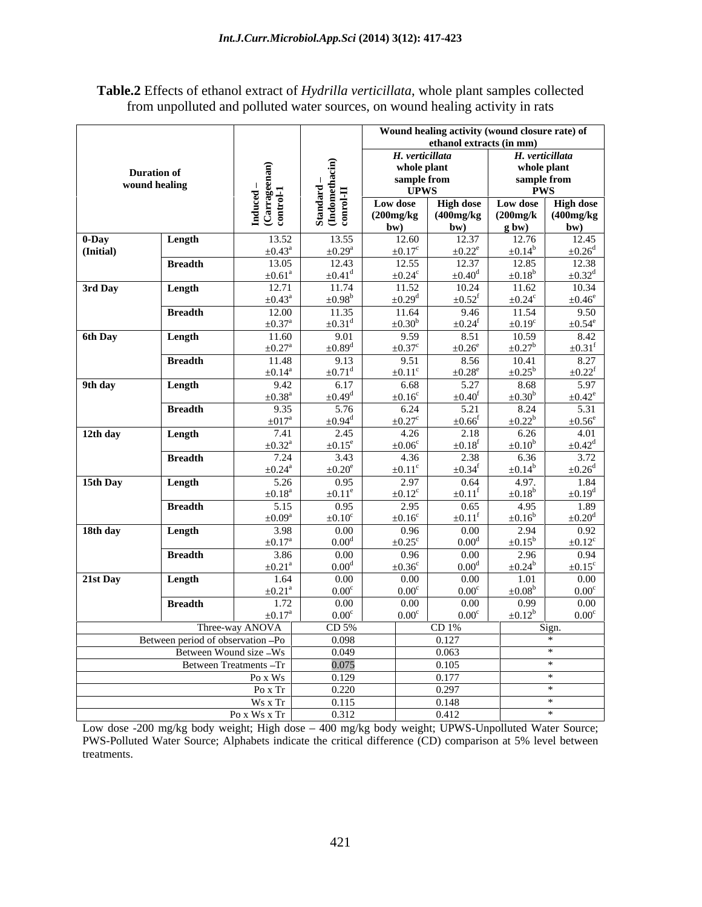| <b>Table.2</b> Effects of ethanol extract of <i>Hydrilla verticillata</i> , whole plant samples collected |  |
|-----------------------------------------------------------------------------------------------------------|--|
| from unpolluted and polluted water sources, on wound healing activity in rats                             |  |

|                    |                                   |                                   |                                  |                                  | ethanol extracts (in mm)      | Wound healing activity (wound closure rate) of               |                                  |
|--------------------|-----------------------------------|-----------------------------------|----------------------------------|----------------------------------|-------------------------------|--------------------------------------------------------------|----------------------------------|
|                    |                                   |                                   |                                  | H. verticillata                  |                               | H. verticillata                                              |                                  |
|                    | <b>Duration of</b>                |                                   |                                  | whole plant                      |                               | whole plant                                                  |                                  |
|                    | wound healing                     |                                   | ਰ ∺ ਸ                            | sample from<br><b>UPWS</b>       |                               | sample from                                                  |                                  |
|                    |                                   | $\frac{1}{2}$ ទូន្ន               |                                  | Low dose                         |                               | <b>PWS</b>                                                   |                                  |
|                    |                                   |                                   |                                  | (200mg/kg)                       |                               | High dose Low dose High dose<br>(400mg/kg (200mg/k (400mg/kg |                                  |
|                    |                                   | 日ご                                |                                  | (bw                              | bw)                           | $g$ bw)                                                      | bw)                              |
| 0-Day<br>(Initial) | Length                            | 13.52<br>$\pm 0.43^{\circ}$       | 13.55<br>$\pm 0.29^{\mathrm{a}}$ | 12.60<br>$\pm 0.17^{\circ}$      | 12.37<br>$\pm 0.22^e$         | 12.76<br>$\pm 0.14^{\rm b}$                                  | 12.45<br>$\pm 0.26^{\mathrm{d}}$ |
|                    | <b>Breadth</b>                    | 13.05                             | 12.43                            | 12.55                            |                               | 12.85                                                        | 12.38                            |
|                    |                                   | $\pm 0.61^{\text{a}}$             | $\pm 0.41$ <sup>d</sup>          | $\pm 0.24$ <sup>c</sup>          | $\pm 0.40^{\mathrm{d}}$       | $\pm 0.18^{\rm b}$                                           | $\pm 0.32^d$                     |
| 3rd Day            | Length                            | 12.71                             | 11.74                            | 11.52                            | 10.24                         | 11.62                                                        | 10.34                            |
|                    | <b>Breadth</b>                    | $\pm 0.43^{\circ}$<br>12.00       | $\pm 0.98^{\rm b}$<br>11.35      | $\pm 0.29$ <sup>d</sup><br>11.64 | $+0.52^{\mathrm{f}}$<br>9.46  | $\pm 0.24^{\circ}$<br>11.54                                  | $\pm 0.46^\mathrm{e}$<br>9.50    |
|                    |                                   | $\pm 0.37$ <sup>a</sup>           | $+0.31^d$                        | $+0.30^{b}$                      | $\pm 0.24$ <sup>f</sup>       | $\pm 0.19^\circ$                                             | $\pm 0.54^e$                     |
| 6th Day            | Length                            | 11.60                             | 9.01                             | 9.59                             | 8.51                          | 10.59                                                        | 8.42                             |
|                    |                                   | $\pm 0.27$ <sup>a</sup>           | $\pm 0.89$ <sup>d</sup>          | $\pm 0.37^{\circ}$               | $\pm 0.26^e$                  | $\pm 0.27^{\rm b}$                                           | $\pm 0.31$ <sup>f</sup>          |
|                    | <b>Breadth</b>                    | 11.48<br>$\pm 0.14^{\mathrm{a}}$  | 9.13<br>$+0.71$ <sup>d</sup>     | 9.51<br>$+0.11^{\circ}$          | 8.56<br>$\pm 0.28^e$          | 10.41<br>$\pm 0.25^{\rm b}$                                  | 8.27<br>$\pm 0.22$ <sup>f</sup>  |
| 9th day            | Length                            | 9.42                              | 6.17                             | 6.68                             | 5.27                          | 8.68                                                         | 5.97                             |
|                    |                                   | $\pm 0.38$ <sup>a</sup>           | $\pm 0.49^d$                     | $+0.16^{\circ}$                  | $+0.40^{\rm t}$               | $\pm 0.30^{\rm b}$                                           | $\pm 0.42^e$                     |
|                    | <b>Breadth</b>                    | 9.35                              | 5.76<br>$+0.94^d$                | 6.24                             | 5.21<br>$+0.66^{\mathrm{t}}$  | 8.24<br>$\pm 0.22^b$                                         | 5.31                             |
| 12th day           | Length                            | $\pm 017$ <sup>a</sup><br>7.41    | 2.45                             | $\pm 0.27$ <sup>c</sup><br>4.26  | 2.18                          | 6.26                                                         | $\pm 0.56^e$<br>4.01             |
|                    |                                   | $\pm 0.32^{\text{a}}$             | $+0.15^e$                        | $\pm 0.06^{\circ}$               | $+0.18$ <sup>f</sup>          | $\pm 0.10^{\rm b}$                                           | $\pm 0.42^d$                     |
|                    | <b>Breadth</b>                    | 7.24                              | 3.43                             | 4.36                             | 2.38                          | 6.36                                                         | 3.72                             |
|                    |                                   | $\pm 0.24$ <sup>a</sup>           | $+0.20^e$                        | $+0.11$ <sup>c</sup>             | $+0.34$ <sup>f</sup>          | $\pm 0.14^k$                                                 | $\pm 0.26^d$                     |
| 15th Day           | Length                            | 5.26<br>$\pm 0.18$ <sup>a</sup>   | 0.95<br>$+0.11^e$                | 2.97<br>$+0.12^{\circ}$          | 0.64<br>$+0.11$ <sup>t</sup>  | 4.97.<br>$\pm 0.18^{\rm b}$                                  | 1.84<br>$\pm 0.19^d$             |
|                    | <b>Breadth</b>                    | 5.15                              | 0.95                             | 2.95                             | 0.65                          | 4.95                                                         | 1.89                             |
|                    |                                   | $\pm 0.09^{\mathrm{a}}$           | $+0.10^{\circ}$                  | $+0.16^{\circ}$                  | $+0.11$                       | $\pm 0.16^{\rm t}$                                           | $\pm 0.20^d$                     |
| 18th day           | Length                            | 3.98<br>$\pm 0.17$ <sup>a</sup>   | $0.00\,$<br>0.00 <sup>d</sup>    | 0.96                             | $0.00\,$                      | 2.94                                                         | 0.92                             |
|                    | <b>Breadth</b>                    | 3.86                              | $0.00\,$                         | $\pm 0.25^{\circ}$<br>0.96       | 0.00 <sup>d</sup><br>$0.00\,$ | $\pm 0.15^{\rm b}$<br>2.96                                   | $\pm 0.12^c$<br>0.94             |
|                    |                                   | $\pm 0.21$ <sup>a</sup>           | 0.00 <sup>d</sup>                | $+0.36^{\circ}$                  | $0.00^{\rm d}$                | $\pm 0.24^{\rm b}$                                           | $\pm 0.15^{\circ}$               |
| 21st Day           | Length                            | 1.64                              | $0.00\,$                         | $0.00\,$                         | $0.00\,$                      | -1.01                                                        | $0.00\,$                         |
|                    |                                   | $\pm 0.21$ <sup>a</sup>           | $0.00^{\circ}$                   | 0.00 <sup>c</sup>                | 0.00 <sup>c</sup>             | $\pm 0.08^{\rm b}$                                           | $0.00^{\circ}$                   |
|                    | <b>Breadth</b>                    | 1.72<br>$+0.17^{\circ}$           | $0.00\,$<br>$0.00^{\circ}$       | $0.00\,$<br>0.00 <sup>c</sup>    | $0.00\,$<br>$0.00^{\circ}$    | 0.99<br>$\pm 0.12^b$                                         | $0.00\,$<br>$0.00^{\circ}$       |
|                    |                                   | Three-way ANOVA                   | CD <sub>5%</sub>                 |                                  | CD 1%                         | Sign.                                                        |                                  |
|                    | Between period of observation -Po |                                   | 0.098                            |                                  | 0.127                         | $*$                                                          |                                  |
|                    |                                   | Between Wound size -Ws            | 0.049                            |                                  | 0.063                         | $*$                                                          |                                  |
|                    |                                   | Between Treatments -Tr<br>Po x Ws | $\frac{0.075}{0.129}$            |                                  | 0.105<br>0.177                | $\ast$<br>$*$                                                |                                  |
|                    |                                   | Po x Tr                           | 0.220                            |                                  | 0.297                         | $*$                                                          |                                  |
|                    |                                   | Ws x Tr                           | 0.115                            |                                  | 0.148                         | $\frac{1}{1+\frac{1}{2}}$                                    |                                  |
|                    |                                   | $P_0$ x Ws x Tr                   | 0.312                            |                                  | 0.412                         | $*$                                                          |                                  |

Low dose -200 mg/kg body weight; High dose – 400 mg/kg body weight; UPWS-Unpolluted Water Source; PWS-Polluted Water Source; Alphabets indicate the critical difference (CD) comparison at 5% level between treatments.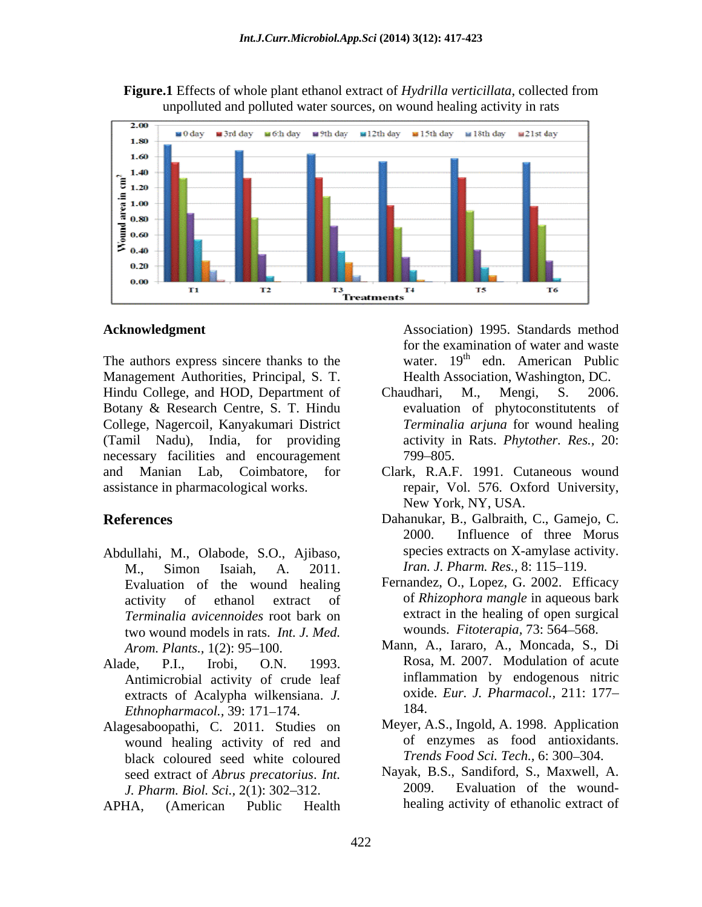**Figure.1** Effects of whole plant ethanol extract of *Hydrilla verticillata*, collected from unpolluted and polluted water sources, on wound healing activity in rats



The authors express sincere thanks to the Management Authorities, Principal, S. T. Hindu College, and HOD, Department of Chaudhari, M., Mengi, S. 2006. Botany & Research Centre, S. T. Hindu College, Nagercoil, Kanyakumari District (Tamil Nadu), India, for providing necessary facilities and encouragement 799–805.

- Abdullahi, M., Olabode, S.O., Ajibaso, M., Simon Isaiah, A. 2011. *Iran. J. Pharm. Res.,* 8: 115 119. Evaluation of the wound healing *Terminalia avicennoides* root bark on two wound models in rats. *Int. J. Med.*
- Antimicrobial activity of crude leaf extracts of Acalypha wilkensiana. *J.* oxide<br>Ethnoplarmacol 30: 171 174 184 *Ethnopharmacol., 39: 171-174.*
- Alagesaboopathi, C. 2011. Studies on wound healing activity of red and black coloured seed white coloured seed extract of *Abrus precatorius. Int.* Nayak, B.<br>*I Pharm Riol Sci* 2(1): 302–312 2009. *J. Pharm. Biol. Sci., 2(1): 302-312.*
- APHA, (American Public Health healing activity of ethanolic extract of

**Acknowledgment** Association) 1995. Standards method for the examination of water and waste water. 19<sup>th</sup> edn. American Public Health Association, Washington, DC.

- Chaudhari, M., Mengi, S. 2006. evaluation of phytoconstitutents of *Terminalia arjuna* for wound healing activity in Rats. *Phytother. Res.,* 20: **799–805.** The same state of the same state of the same state of the same state of the same state of the same state of the same state of the same state of the same state of the same state of the same state of the same stat
- and Manian Lab, Coimbatore, for Clark, R.A.F. 1991. Cutaneous wound assistance in pharmacological works. repair, Vol. 576. Oxford University, New York, NY, USA.
- **References** Dahanukar, B., Galbraith, C., Gamejo, C. 2000. Influence of three Morus species extracts on X-amylase activity.
	- activity of ethanol extract of of *Rhizophora mangle* in aqueous bark Fernandez, O., Lopez, G. 2002. Efficacy extract in the healing of open surgical wounds. *Fitoterapia,* 73: 564 568.
- *Arom. Plants.,* 1(2): 95–100. Mann, A., Iararo, A., Moncada, S., Di Alade, P.I., Irobi, O.N. 1993. Rosa, M. 2007. Modulation of acute inflammation by endogenous nitric oxide. *Eur. J. Pharmacol.,* 211: 177 184.
	- Meyer, A.S., Ingold, A. 1998. Application of enzymes as food antioxidants. *Trends Food Sci. Tech., 6: 300-304.*
	- Nayak, B.S., Sandiford, S., Maxwell, A. Evaluation of the wound-